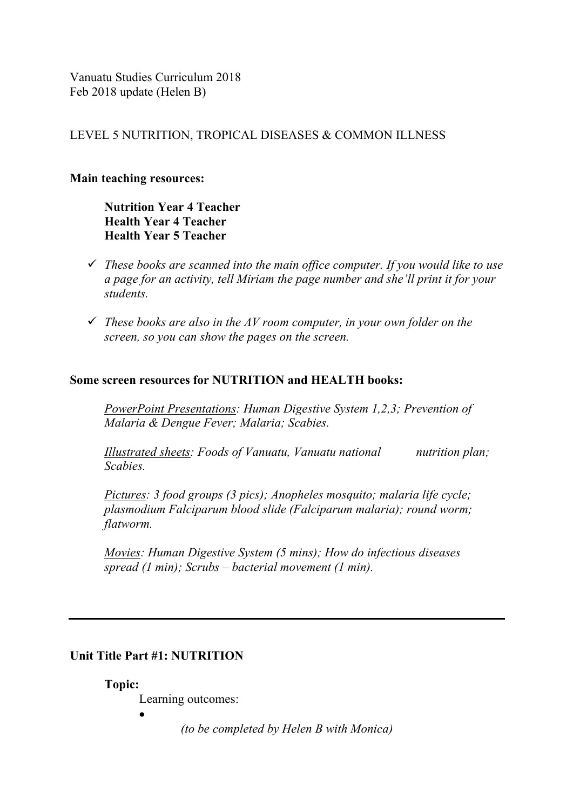Vanuatu Studies Curriculum 2018 Feb 2018 update (Helen B)

## LEVEL 5 NUTRITION, TROPICAL DISEASES & COMMON ILLNESS

#### **Main teaching resources:**

**Nutrition Year 4 Teacher Health Year 4 Teacher Health Year 5 Teacher**

- ü *These books are scanned into the main office computer. If you would like to use a page for an activity, tell Miriam the page number and she'll print it for your students.*
- ü *These books are also in the AV room computer, in your own folder on the screen, so you can show the pages on the screen.*

#### **Some screen resources for NUTRITION and HEALTH books:**

*PowerPoint Presentations: Human Digestive System 1,2,3; Prevention of Malaria & Dengue Fever; Malaria; Scabies.*

*Illustrated sheets: Foods of Vanuatu, Vanuatu national nutrition plan; Scabies.*

*Pictures: 3 food groups (3 pics); Anopheles mosquito; malaria life cycle; plasmodium Falciparum blood slide (Falciparum malaria); round worm; flatworm.*

*Movies: Human Digestive System (5 mins); How do infectious diseases spread (1 min); Scrubs – bacterial movement (1 min).*

#### **Unit Title Part #1: NUTRITION**

**Topic:** 

Learning outcomes:

•

*(to be completed by Helen B with Monica)*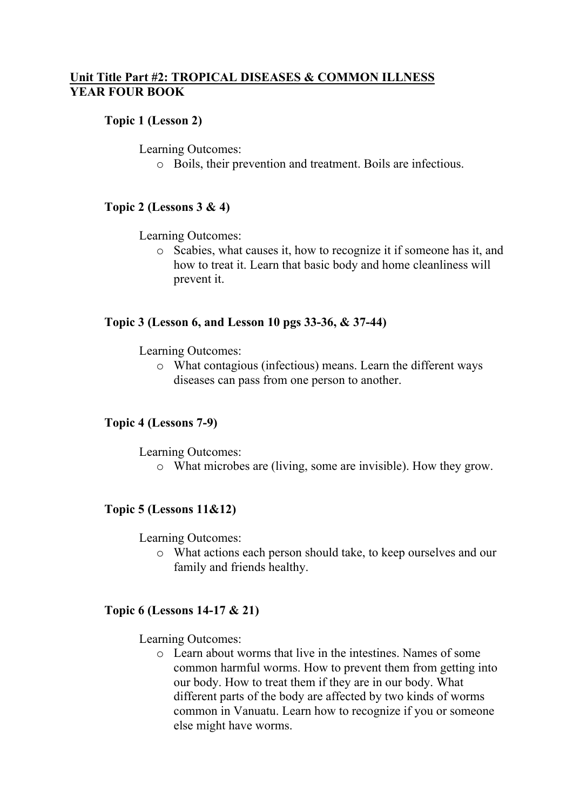# **Unit Title Part #2: TROPICAL DISEASES & COMMON ILLNESS YEAR FOUR BOOK**

### **Topic 1 (Lesson 2)**

Learning Outcomes:

o Boils, their prevention and treatment. Boils are infectious.

## **Topic 2 (Lessons 3 & 4)**

Learning Outcomes:

o Scabies, what causes it, how to recognize it if someone has it, and how to treat it. Learn that basic body and home cleanliness will prevent it.

#### **Topic 3 (Lesson 6, and Lesson 10 pgs 33-36, & 37-44)**

Learning Outcomes:

o What contagious (infectious) means. Learn the different ways diseases can pass from one person to another.

#### **Topic 4 (Lessons 7-9)**

Learning Outcomes:

o What microbes are (living, some are invisible). How they grow.

#### **Topic 5 (Lessons 11&12)**

Learning Outcomes:

o What actions each person should take, to keep ourselves and our family and friends healthy.

#### **Topic 6 (Lessons 14-17 & 21)**

Learning Outcomes:

o Learn about worms that live in the intestines. Names of some common harmful worms. How to prevent them from getting into our body. How to treat them if they are in our body. What different parts of the body are affected by two kinds of worms common in Vanuatu. Learn how to recognize if you or someone else might have worms.